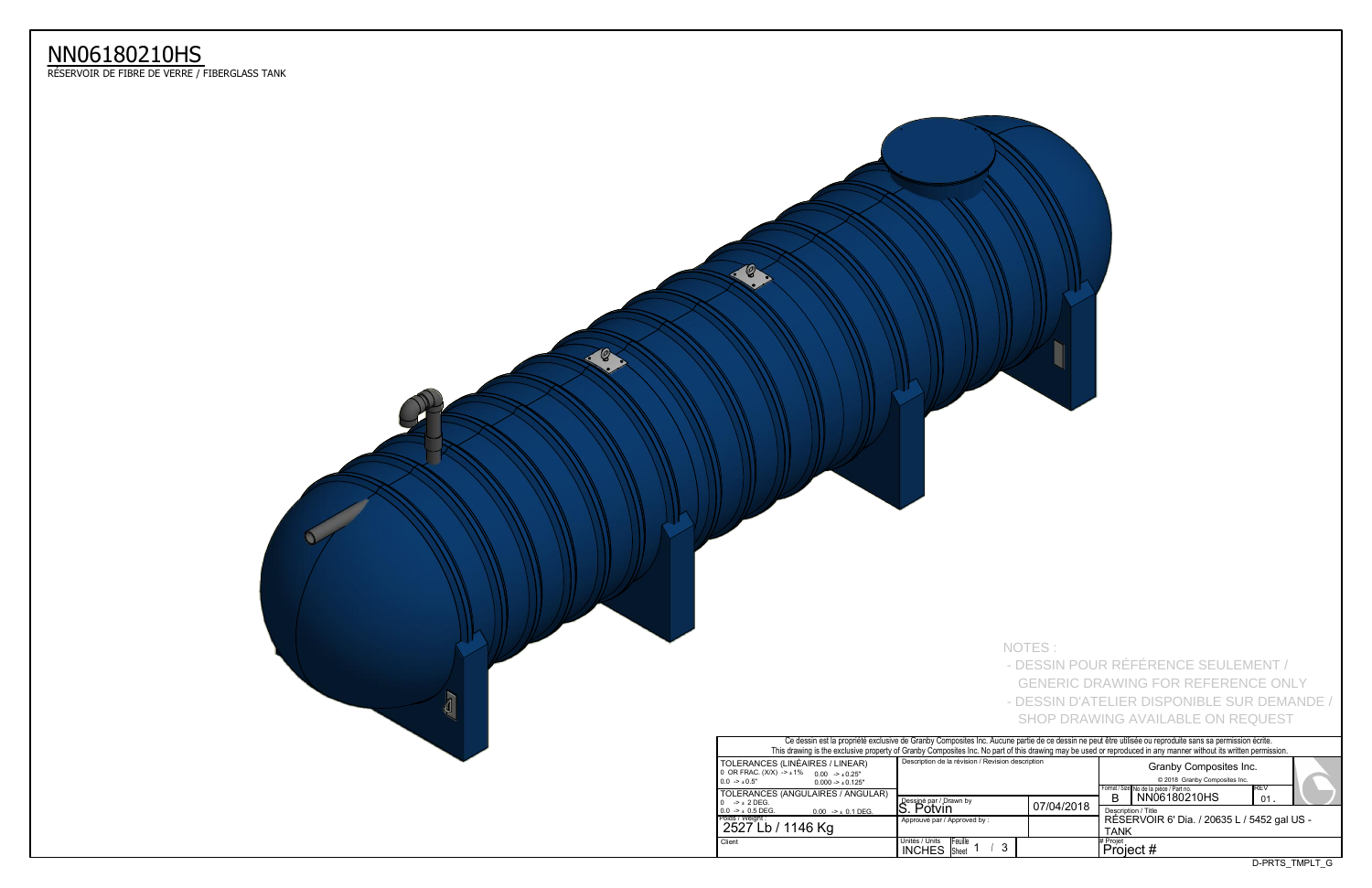D-PRTS\_TMPLT\_G

|                                                                 | Or about the propriety overloaded to Orange Composition mo. A tabance partie as occupant no pout one atmospheration bance barno da pommobile conte.              |            |                     |                                                         |      |                 |  |  |  |  |
|-----------------------------------------------------------------|------------------------------------------------------------------------------------------------------------------------------------------------------------------|------------|---------------------|---------------------------------------------------------|------|-----------------|--|--|--|--|
|                                                                 | This drawing is the exclusive property of Granby Composites Inc. No part of this drawing may be used or reproduced in any manner without its written permission. |            |                     |                                                         |      |                 |  |  |  |  |
| S (LINÉAIRES / LINEAR)<br>$(X)$ -> $\pm$ 1% 0.00 -> $\pm$ 0.25" | Description de la révision / Revision description                                                                                                                |            |                     |                                                         |      |                 |  |  |  |  |
| $0.000 - 1.0125$ "                                              |                                                                                                                                                                  |            |                     |                                                         |      |                 |  |  |  |  |
| S (ANGULAIRES / ANGULAR)                                        |                                                                                                                                                                  |            |                     | Format / Size No de la pièce / Part no.<br>NN06180210HS | IREV |                 |  |  |  |  |
|                                                                 | Dessiné par / Drawn by                                                                                                                                           | 07/04/2018 | B                   |                                                         | 01   |                 |  |  |  |  |
| $0.00$ -> $\pm$ 0.1 DEG.                                        | Potvin                                                                                                                                                           |            | Description / Title |                                                         |      |                 |  |  |  |  |
|                                                                 | Approuvé par / Approved by:                                                                                                                                      |            |                     | RÉSERVOIR 6' Dia. / 20635 L / 5452 gal US -             |      |                 |  |  |  |  |
| / 1146 Kg                                                       |                                                                                                                                                                  |            | <b>TANK</b>         |                                                         |      |                 |  |  |  |  |
|                                                                 | Unités / Units<br><b>IFeuille</b>                                                                                                                                |            | # Proiet            |                                                         |      |                 |  |  |  |  |
|                                                                 | 3<br><b>INCHES</b><br><b>Sheet</b>                                                                                                                               |            | Project #           |                                                         |      |                 |  |  |  |  |
|                                                                 |                                                                                                                                                                  |            |                     |                                                         |      | O DD TC TMDIT C |  |  |  |  |



| NOTES:<br>- DESSIN POUR RÉFÉRENCE SEULEMENT /<br><b>GENERIC DRAWING FOR REFERENCE ONLY</b><br>- DESSIN D'ATELIER DISPONIBLE SUR DEMANDE /<br>SHOP DRAWING AVAILABLE ON REQUEST |  |
|--------------------------------------------------------------------------------------------------------------------------------------------------------------------------------|--|

## NN06180210HS

ReSERVOIR DE FIBRE DE VERRE / FIBERGLASS TANK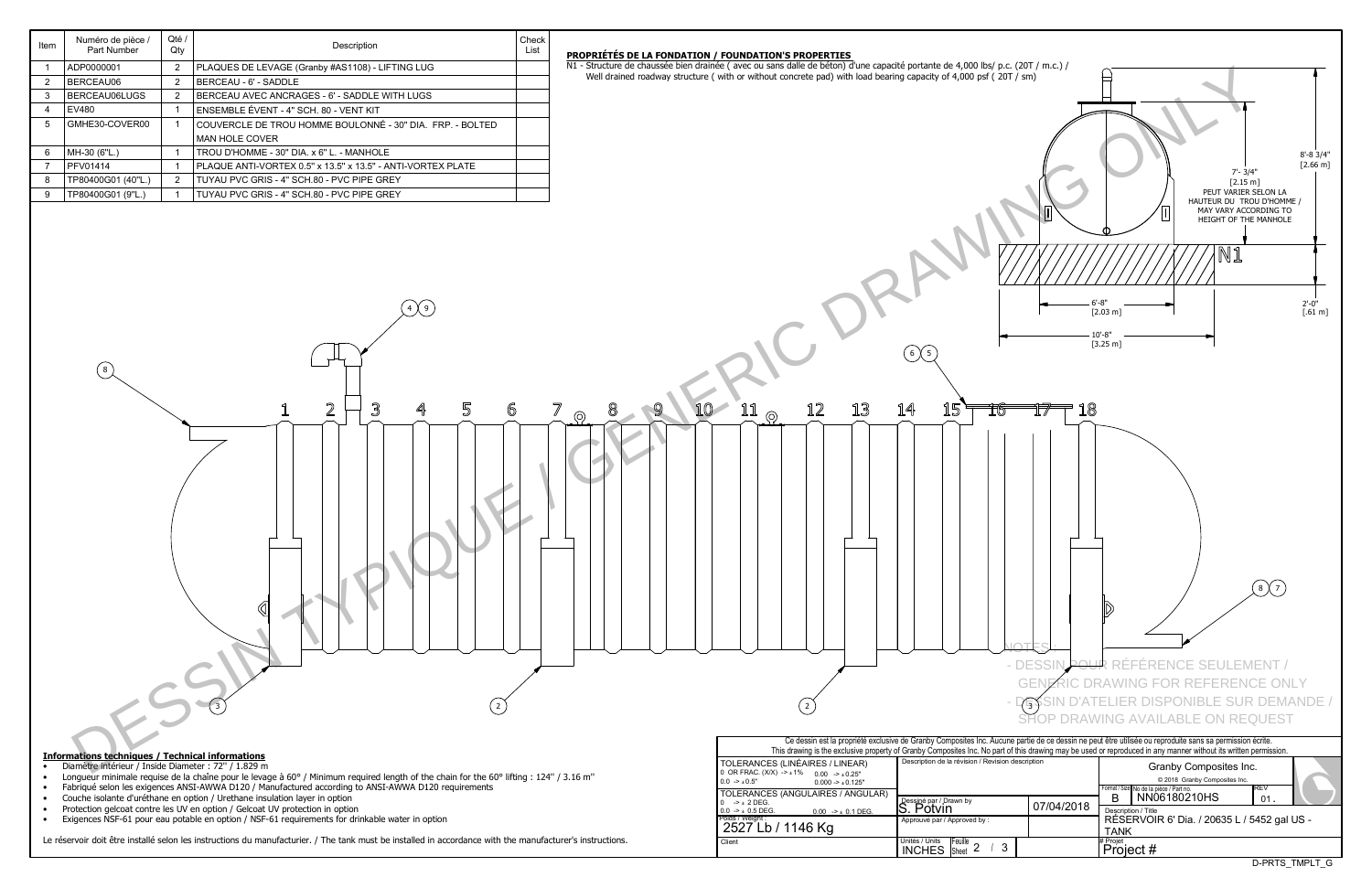| Item           | Numéro de pièce /<br>Part Number                                                                                | Qté /<br>Qty   | Description                                                                                                                                                                       | Check<br>List | PROPRIÉTÉS DE LA FONDATION / FOUNDATION'S PROPERTIES |                                                                                                                                           |                                                   |                                            |                                                                                                                                                                                                                                                                                                                                                                                 |  |  |
|----------------|-----------------------------------------------------------------------------------------------------------------|----------------|-----------------------------------------------------------------------------------------------------------------------------------------------------------------------------------|---------------|------------------------------------------------------|-------------------------------------------------------------------------------------------------------------------------------------------|---------------------------------------------------|--------------------------------------------|---------------------------------------------------------------------------------------------------------------------------------------------------------------------------------------------------------------------------------------------------------------------------------------------------------------------------------------------------------------------------------|--|--|
| - 1            | ADP0000001                                                                                                      | $\overline{2}$ | PLAQUES DE LEVAGE (Granby #AS1108) - LIFTING LUG                                                                                                                                  |               |                                                      | N1 - Structure de chaussée bien drainée (avec ou sans dalle de béton) d'une capacité portante de 4,000 lbs/ p.c. (20T / m.c.) /           |                                                   |                                            |                                                                                                                                                                                                                                                                                                                                                                                 |  |  |
| $\overline{2}$ | BERCEAU06                                                                                                       | 2              | BERCEAU - 6' - SADDLE                                                                                                                                                             |               |                                                      | Well drained roadway structure (with or without concrete pad) with load bearing capacity of 4,000 psf (20T / sm)                          |                                                   |                                            |                                                                                                                                                                                                                                                                                                                                                                                 |  |  |
| 3              | BERCEAU06LUGS                                                                                                   | $\overline{2}$ | BERCEAU AVEC ANCRAGES - 6' - SADDLE WITH LUGS                                                                                                                                     |               |                                                      |                                                                                                                                           |                                                   |                                            |                                                                                                                                                                                                                                                                                                                                                                                 |  |  |
| -4             | <b>EV480</b>                                                                                                    | $\overline{1}$ | ENSEMBLE ÉVENT - 4" SCH. 80 - VENT KIT                                                                                                                                            |               |                                                      |                                                                                                                                           |                                                   |                                            |                                                                                                                                                                                                                                                                                                                                                                                 |  |  |
| 5              | GMHE30-COVER00                                                                                                  | - 1            | COUVERCLE DE TROU HOMME BOULONNÉ - 30" DIA. FRP. - BOLTED                                                                                                                         |               |                                                      |                                                                                                                                           |                                                   |                                            |                                                                                                                                                                                                                                                                                                                                                                                 |  |  |
|                |                                                                                                                 |                | MAN HOLE COVER                                                                                                                                                                    |               |                                                      |                                                                                                                                           |                                                   |                                            |                                                                                                                                                                                                                                                                                                                                                                                 |  |  |
| 6              | MH-30 (6"L.)                                                                                                    | $\overline{1}$ | TROU D'HOMME - 30" DIA. x 6" L. - MANHOLE                                                                                                                                         |               |                                                      |                                                                                                                                           |                                                   |                                            |                                                                                                                                                                                                                                                                                                                                                                                 |  |  |
| $\overline{7}$ | <b>PFV01414</b>                                                                                                 | $\overline{1}$ | PLAQUE ANTI-VORTEX 0.5" x 13.5" x 13.5" - ANTI-VORTEX PLATE                                                                                                                       |               |                                                      |                                                                                                                                           |                                                   |                                            | $7 - 3/4"$                                                                                                                                                                                                                                                                                                                                                                      |  |  |
| -8             | TP80400G01 (40"L.)                                                                                              | $\overline{2}$ | TUYAU PVC GRIS - 4" SCH.80 - PVC PIPE GREY                                                                                                                                        |               |                                                      |                                                                                                                                           |                                                   |                                            | $[2.15 \; m]$                                                                                                                                                                                                                                                                                                                                                                   |  |  |
| - 9            | TP80400G01 (9"L.)                                                                                               |                | TUYAU PVC GRIS - 4" SCH.80 - PVC PIPE GREY                                                                                                                                        |               |                                                      |                                                                                                                                           |                                                   |                                            | PEUT VARIER SE<br>HAUTEUR DU TROU                                                                                                                                                                                                                                                                                                                                               |  |  |
|                | $(\; 8\;)$                                                                                                      |                | $\mathbf 2$<br>$\mathbb S$<br>5<br>4<br>6                                                                                                                                         |               | $10-$<br>$\mathcal{Q}$<br>8<br>$\circledcirc$        | 12<br>13<br>11<br>$\odot$                                                                                                                 | $\left(6\right)\left(5\right)$<br>14<br>15<br>TG  | - DESSIN POUR<br><b>GENE</b><br>$\sqrt{3}$ | MAY VARY ACCOR<br>HEIGHT OF THE M<br>5'-8"<br>$[2.03 \; m]$<br>$10 - 8"$<br>$[3.25 \; m]$<br>$\epsilon$<br>RÉFÉRENCE SEULEME<br><b>IC DRAWING FOR REFERENCE</b><br>NIBLE SUR I<br><b>SHOP DRAWING AVAILABLE ON REQU</b><br>Ce dessin est la propriété exclusive de Granby Composites Inc. Aucune partie de ce dessin ne peut être utilisée ou reproduite sans sa permission éci |  |  |
|                |                                                                                                                 |                |                                                                                                                                                                                   |               |                                                      |                                                                                                                                           |                                                   |                                            | This drawing is the exclusive property of Granby Composites Inc. No part of this drawing may be used or reproduced in any manner without its written per                                                                                                                                                                                                                        |  |  |
| $\bullet$      | <b>Informations techniques / Technical informations</b><br>Diamètre intérieur / Inside Diameter : 72" / 1.829 m |                |                                                                                                                                                                                   |               |                                                      | TOLERANCES (LINÉAIRES / LINEAR)                                                                                                           | Description de la révision / Revision description |                                            | Granby Composites Inc.                                                                                                                                                                                                                                                                                                                                                          |  |  |
|                |                                                                                                                 |                | Longueur minimale requise de la chaîne pour le levage à 60° / Minimum required length of the chain for the 60° lifting : 124" / 3.16 m"                                           |               |                                                      | 0 OR FRAC. $(X/X)$ $\rightarrow$ $\pm$ 1% 0.00 $\rightarrow$ $\pm$ 0.25"<br>$0.0 \rightarrow \pm 0.5$ "<br>$0.000 \rightarrow \pm 0.125"$ |                                                   |                                            |                                                                                                                                                                                                                                                                                                                                                                                 |  |  |
| $\bullet$      |                                                                                                                 |                | Fabriqué selon les exigences ANSI-AWWA D120 / Manufactured according to ANSI-AWWA D120 requirements<br>Couche isolante d'uréthane en option / Urethane insulation layer in option |               |                                                      | TOLERANCES (ANGULAIRES / ANGULAR)                                                                                                         |                                                   |                                            | © 2018 Granby Composites Inc.<br>Format / Size No de la pièce / Part no.<br>NN06180210HS<br>B                                                                                                                                                                                                                                                                                   |  |  |
|                |                                                                                                                 |                | Protection gelcoat contre les UV en option / Gelcoat UV protection in option                                                                                                      |               |                                                      | $0 \rightarrow \pm 2$ DEG.<br>$0.0$ -> $\pm$ 0.5 DEG.<br>$0.00$ -> $\pm$ 0.1 DEG.                                                         | Dessiné par / Drawn by<br>S. Potvin               | 07/04/2018                                 | Description / Title                                                                                                                                                                                                                                                                                                                                                             |  |  |
| $\bullet$      |                                                                                                                 |                | Exigences NSF-61 pour eau potable en option / NSF-61 requirements for drinkable water in option                                                                                   |               |                                                      | Poids / Weight :                                                                                                                          | Approuvé par / Approved by :                      |                                            | RÉSERVOIR 6' Dia. / 20635 L / 54                                                                                                                                                                                                                                                                                                                                                |  |  |
|                |                                                                                                                 |                | Le réservoir doit être installé selon les instructions du manufacturier. / The tank must be installed in accordance with the manufacturer's instructions.                         |               |                                                      | 2527 Lb / 1146 Kg                                                                                                                         | Unités / Units Feuille                            |                                            | <b>TANK</b><br># Projet                                                                                                                                                                                                                                                                                                                                                         |  |  |
|                |                                                                                                                 |                |                                                                                                                                                                                   |               |                                                      |                                                                                                                                           |                                                   |                                            |                                                                                                                                                                                                                                                                                                                                                                                 |  |  |

INCHES Sheet 2 / 3

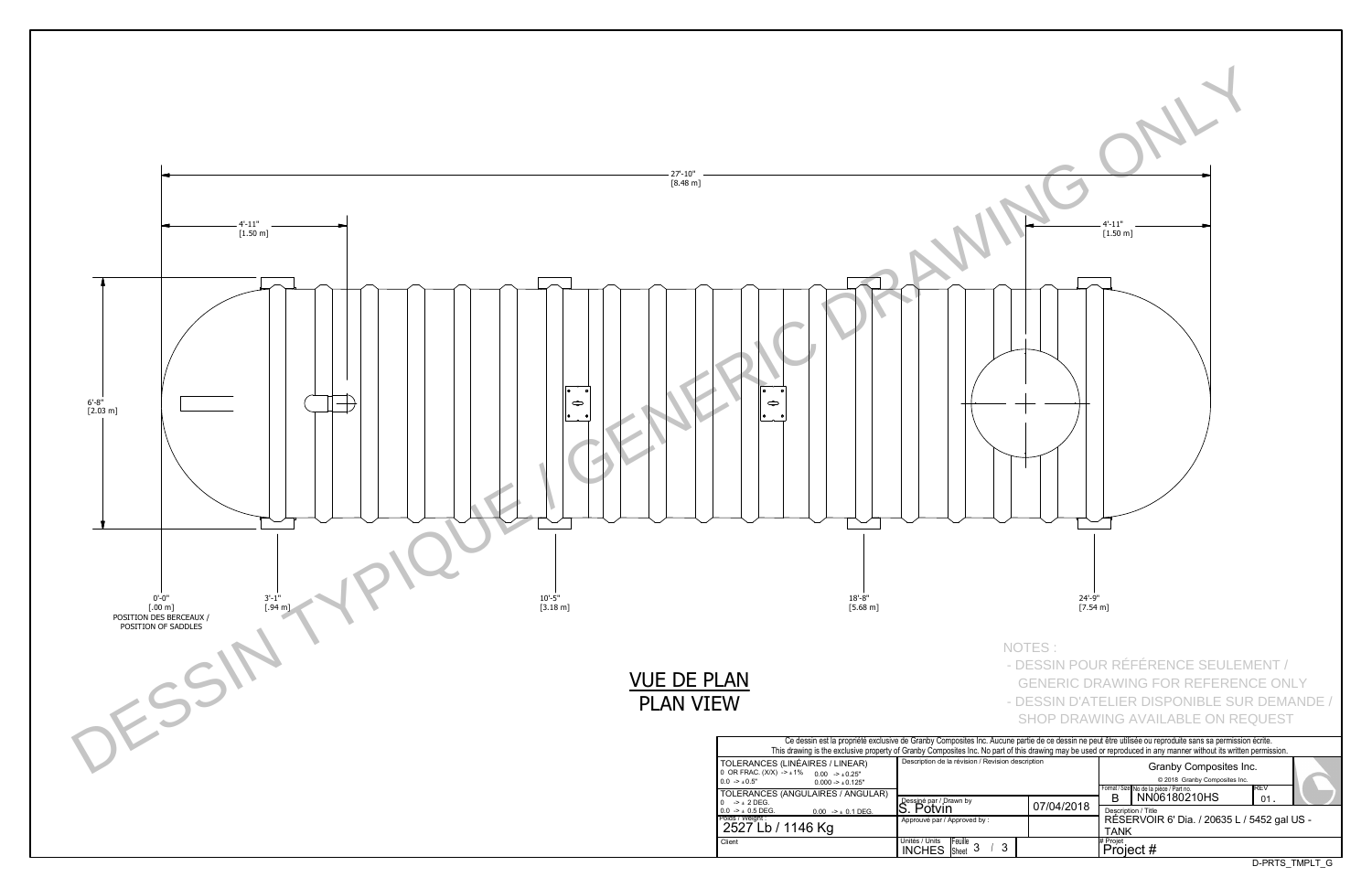D-PRTS\_TMPLT\_G